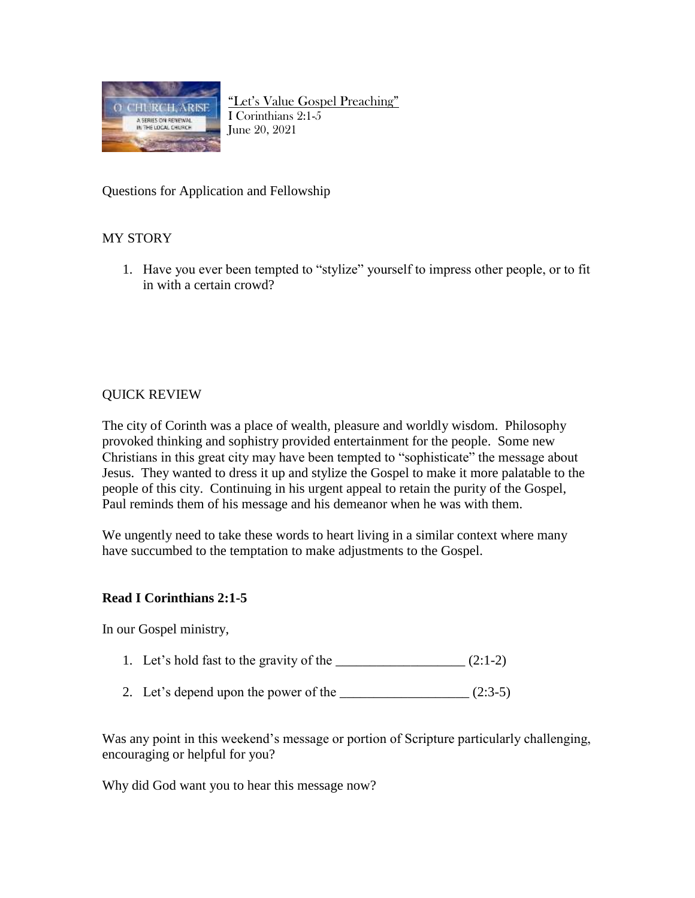

"Let's Value Gospel Preaching" I Corinthians 2:1-5 June 20, 2021

Questions for Application and Fellowship

## MY STORY

1. Have you ever been tempted to "stylize" yourself to impress other people, or to fit in with a certain crowd?

## QUICK REVIEW

The city of Corinth was a place of wealth, pleasure and worldly wisdom. Philosophy provoked thinking and sophistry provided entertainment for the people. Some new Christians in this great city may have been tempted to "sophisticate" the message about Jesus. They wanted to dress it up and stylize the Gospel to make it more palatable to the people of this city. Continuing in his urgent appeal to retain the purity of the Gospel, Paul reminds them of his message and his demeanor when he was with them.

We ungently need to take these words to heart living in a similar context where many have succumbed to the temptation to make adjustments to the Gospel.

## **Read I Corinthians 2:1-5**

In our Gospel ministry,

- 1. Let's hold fast to the gravity of the  $\frac{1}{2}$  (2:1-2)
- 2. Let's depend upon the power of the  $\frac{1}{2}$  (2:3-5)

Was any point in this weekend's message or portion of Scripture particularly challenging, encouraging or helpful for you?

Why did God want you to hear this message now?